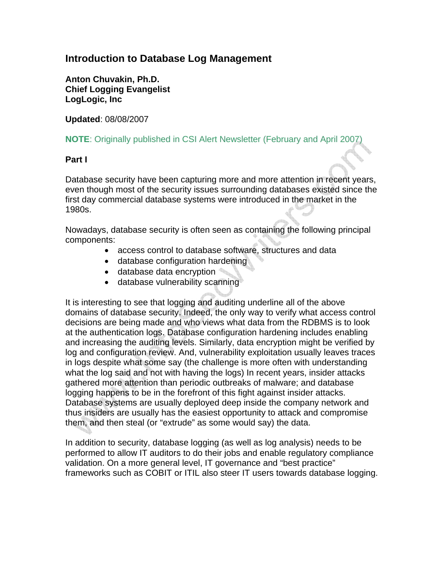## **Introduction to Database Log Management**

**Anton Chuvakin, Ph.D. Chief Logging Evangelist LogLogic, Inc** 

**Updated**: 08/08/2007

## **NOTE**: Originally published in CSI Alert Newsletter (February and April 2007)

## **Part I**

Database security have been capturing more and more attention in recent years, even though most of the security issues surrounding databases existed since the first day commercial database systems were introduced in the market in the 1980s.

Nowadays, database security is often seen as containing the following principal components:

- access control to database software, structures and data
- database configuration hardening
- database data encryption
- database vulnerability scanning

It is interesting to see that logging and auditing underline all of the above domains of database security. Indeed, the only way to verify what access control decisions are being made and who views what data from the RDBMS is to look at the authentication logs. Database configuration hardening includes enabling and increasing the auditing levels. Similarly, data encryption might be verified by log and configuration review. And, vulnerability exploitation usually leaves traces in logs despite what some say (the challenge is more often with understanding what the log said and not with having the logs) In recent years, insider attacks gathered more attention than periodic outbreaks of malware; and database logging happens to be in the forefront of this fight against insider attacks. Database systems are usually deployed deep inside the company network and thus insiders are usually has the easiest opportunity to attack and compromise them, and then steal (or "extrude" as some would say) the data.

In addition to security, database logging (as well as log analysis) needs to be performed to allow IT auditors to do their jobs and enable regulatory compliance validation. On a more general level, IT governance and "best practice" frameworks such as COBIT or ITIL also steer IT users towards database logging.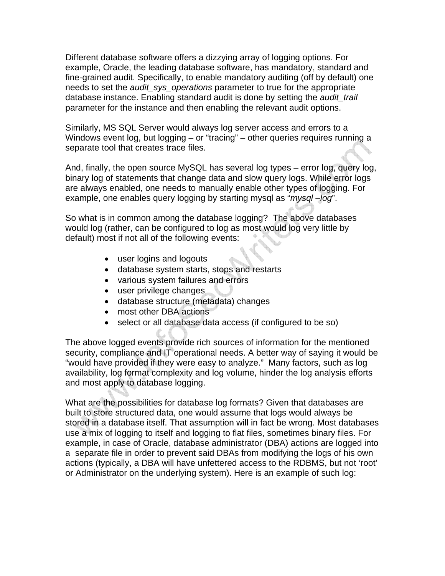Different database software offers a dizzying array of logging options. For example, Oracle, the leading database software, has mandatory, standard and fine-grained audit. Specifically, to enable mandatory auditing (off by default) one needs to set the *audit\_sys\_operations* parameter to true for the appropriate database instance. Enabling standard audit is done by setting the *audit\_trail* parameter for the instance and then enabling the relevant audit options.

Similarly, MS SQL Server would always log server access and errors to a Windows event log, but logging – or "tracing" – other queries requires running a separate tool that creates trace files.

And, finally, the open source MySQL has several log types – error log, query log, binary log of statements that change data and slow query logs. While error logs are always enabled, one needs to manually enable other types of logging. For example, one enables query logging by starting mysql as "*mysql –log*".

So what is in common among the database logging? The above databases would log (rather, can be configured to log as most would log very little by default) most if not all of the following events:

- user logins and logouts
- database system starts, stops and restarts
- various system failures and errors
- user privilege changes
- database structure (metadata) changes
- most other DBA actions
- select or all database data access (if configured to be so)

The above logged events provide rich sources of information for the mentioned security, compliance and IT operational needs. A better way of saying it would be "would have provided if they were easy to analyze." Many factors, such as log availability, log format complexity and log volume, hinder the log analysis efforts and most apply to database logging.

What are the possibilities for database log formats? Given that databases are built to store structured data, one would assume that logs would always be stored in a database itself. That assumption will in fact be wrong. Most databases use a mix of logging to itself and logging to flat files, sometimes binary files. For example, in case of Oracle, database administrator (DBA) actions are logged into a separate file in order to prevent said DBAs from modifying the logs of his own actions (typically, a DBA will have unfettered access to the RDBMS, but not 'root' or Administrator on the underlying system). Here is an example of such log: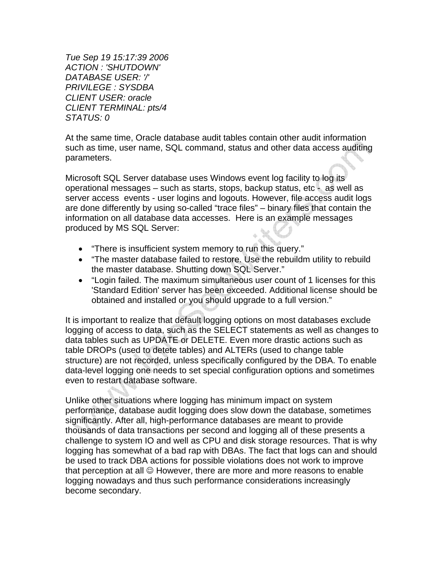*Tue Sep 19 15:17:39 2006 ACTION : 'SHUTDOWN' DATABASE USER: '/' PRIVILEGE : SYSDBA CLIENT USER: oracle CLIENT TERMINAL: pts/4 STATUS: 0* 

At the same time, Oracle database audit tables contain other audit information such as time, user name, SQL command, status and other data access auditing parameters.

Microsoft SQL Server database uses Windows event log facility to log its operational messages – such as starts, stops, backup status, etc - as well as server access events - user logins and logouts. However, file access audit logs are done differently by using so-called "trace files" – binary files that contain the information on all database data accesses. Here is an example messages produced by MS SQL Server:

- "There is insufficient system memory to run this query."
- "The master database failed to restore. Use the rebuildm utility to rebuild the master database. Shutting down SQL Server."
- "Login failed. The maximum simultaneous user count of 1 licenses for this 'Standard Edition' server has been exceeded. Additional license should be obtained and installed or you should upgrade to a full version."

It is important to realize that default logging options on most databases exclude logging of access to data, such as the SELECT statements as well as changes to data tables such as UPDATE or DELETE. Even more drastic actions such as table DROPs (used to detete tables) and ALTERs (used to change table structure) are not recorded, unless specifically configured by the DBA. To enable data-level logging one needs to set special configuration options and sometimes even to restart database software.

Unlike other situations where logging has minimum impact on system performance, database audit logging does slow down the database, sometimes significantly. After all, high-performance databases are meant to provide thousands of data transactions per second and logging all of these presents a challenge to system IO and well as CPU and disk storage resources. That is why logging has somewhat of a bad rap with DBAs. The fact that logs can and should be used to track DBA actions for possible violations does not work to improve that perception at all  $\odot$  However, there are more and more reasons to enable logging nowadays and thus such performance considerations increasingly become secondary.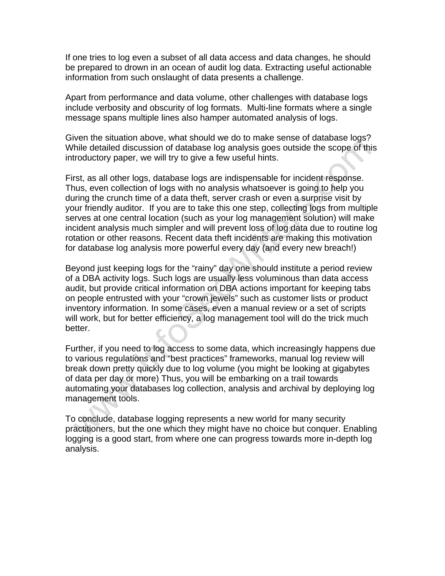If one tries to log even a subset of all data access and data changes, he should be prepared to drown in an ocean of audit log data. Extracting useful actionable information from such onslaught of data presents a challenge.

Apart from performance and data volume, other challenges with database logs include verbosity and obscurity of log formats. Multi-line formats where a single message spans multiple lines also hamper automated analysis of logs.

Given the situation above, what should we do to make sense of database logs? While detailed discussion of database log analysis goes outside the scope of this introductory paper, we will try to give a few useful hints.

First, as all other logs, database logs are indispensable for incident response. Thus, even collection of logs with no analysis whatsoever is going to help you during the crunch time of a data theft, server crash or even a surprise visit by your friendly auditor. If you are to take this one step, collecting logs from multiple serves at one central location (such as your log management solution) will make incident analysis much simpler and will prevent loss of log data due to routine log rotation or other reasons. Recent data theft incidents are making this motivation for database log analysis more powerful every day (and every new breach!)

Beyond just keeping logs for the "rainy" day one should institute a period review of a DBA activity logs. Such logs are usually less voluminous than data access audit, but provide critical information on DBA actions important for keeping tabs on people entrusted with your "crown jewels" such as customer lists or product inventory information. In some cases, even a manual review or a set of scripts will work, but for better efficiency, a log management tool will do the trick much better.

Further, if you need to log access to some data, which increasingly happens due to various regulations and "best practices" frameworks, manual log review will break down pretty quickly due to log volume (you might be looking at gigabytes of data per day or more) Thus, you will be embarking on a trail towards automating your databases log collection, analysis and archival by deploying log management tools.

To conclude, database logging represents a new world for many security practitioners, but the one which they might have no choice but conquer. Enabling logging is a good start, from where one can progress towards more in-depth log analysis.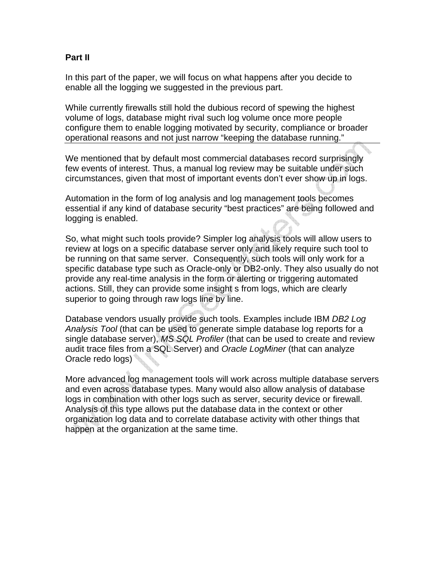## **Part II**

In this part of the paper, we will focus on what happens after you decide to enable all the logging we suggested in the previous part.

While currently firewalls still hold the dubious record of spewing the highest volume of logs, database might rival such log volume once more people configure them to enable logging motivated by security, compliance or broader operational reasons and not just narrow "keeping the database running."

We mentioned that by default most commercial databases record surprisingly few events of interest. Thus, a manual log review may be suitable under such circumstances, given that most of important events don't ever show up in logs.

Automation in the form of log analysis and log management tools becomes essential if any kind of database security "best practices" are being followed and logging is enabled.

So, what might such tools provide? Simpler log analysis tools will allow users to review at logs on a specific database server only and likely require such tool to be running on that same server. Consequently, such tools will only work for a specific database type such as Oracle-only or DB2-only. They also usually do not provide any real-time analysis in the form or alerting or triggering automated actions. Still, they can provide some insight s from logs, which are clearly superior to going through raw logs line by line.

Database vendors usually provide such tools. Examples include IBM *DB2 Log Analysis Tool* (that can be used to generate simple database log reports for a single database server), *MS SQL Profiler* (that can be used to create and review audit trace files from a SQL Server) and *Oracle LogMiner* (that can analyze Oracle redo logs)

More advanced log management tools will work across multiple database servers and even across database types. Many would also allow analysis of database logs in combination with other logs such as server, security device or firewall. Analysis of this type allows put the database data in the context or other organization log data and to correlate database activity with other things that happen at the organization at the same time.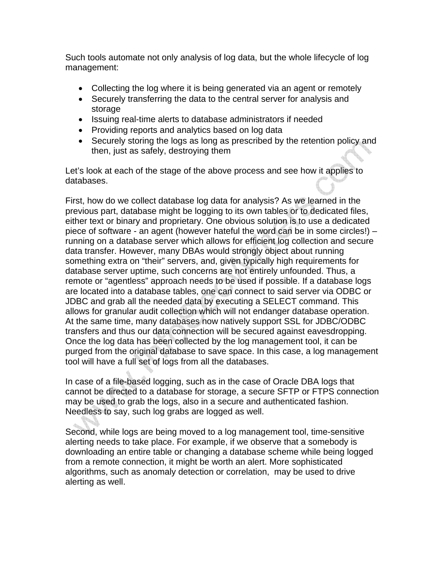Such tools automate not only analysis of log data, but the whole lifecycle of log management:

- Collecting the log where it is being generated via an agent or remotely
- Securely transferring the data to the central server for analysis and storage
- Issuing real-time alerts to database administrators if needed
- Providing reports and analytics based on log data
- Securely storing the logs as long as prescribed by the retention policy and then, just as safely, destroying them

Let's look at each of the stage of the above process and see how it applies to databases.

First, how do we collect database log data for analysis? As we learned in the previous part, database might be logging to its own tables or to dedicated files, either text or binary and proprietary. One obvious solution is to use a dedicated piece of software - an agent (however hateful the word can be in some circles!) – running on a database server which allows for efficient log collection and secure data transfer. However, many DBAs would strongly object about running something extra on "their" servers, and, given typically high requirements for database server uptime, such concerns are not entirely unfounded. Thus, a remote or "agentless" approach needs to be used if possible. If a database logs are located into a database tables, one can connect to said server via ODBC or JDBC and grab all the needed data by executing a SELECT command. This allows for granular audit collection which will not endanger database operation. At the same time, many databases now natively support SSL for JDBC/ODBC transfers and thus our data connection will be secured against eavesdropping. Once the log data has been collected by the log management tool, it can be purged from the original database to save space. In this case, a log management tool will have a full set of logs from all the databases.

In case of a file-based logging, such as in the case of Oracle DBA logs that cannot be directed to a database for storage, a secure SFTP or FTPS connection may be used to grab the logs, also in a secure and authenticated fashion. Needless to say, such log grabs are logged as well.

Second, while logs are being moved to a log management tool, time-sensitive alerting needs to take place. For example, if we observe that a somebody is downloading an entire table or changing a database scheme while being logged from a remote connection, it might be worth an alert. More sophisticated algorithms, such as anomaly detection or correlation, may be used to drive alerting as well.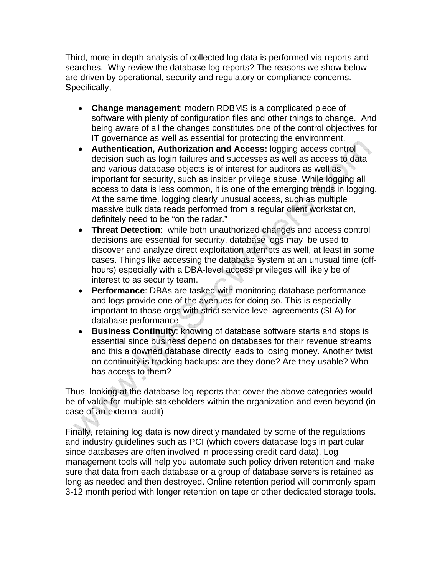Third, more in-depth analysis of collected log data is performed via reports and searches. Why review the database log reports? The reasons we show below are driven by operational, security and regulatory or compliance concerns. Specifically,

- **Change management**: modern RDBMS is a complicated piece of software with plenty of configuration files and other things to change. And being aware of all the changes constitutes one of the control objectives for IT governance as well as essential for protecting the environment.
- **Authentication, Authorization and Access:** logging access control decision such as login failures and successes as well as access to data and various database objects is of interest for auditors as well as important for security, such as insider privilege abuse. While logging all access to data is less common, it is one of the emerging trends in logging. At the same time, logging clearly unusual access, such as multiple massive bulk data reads performed from a regular client workstation, definitely need to be "on the radar."
- **Threat Detection**: while both unauthorized changes and access control decisions are essential for security, database logs may be used to discover and analyze direct exploitation attempts as well, at least in some cases. Things like accessing the database system at an unusual time (offhours) especially with a DBA-level access privileges will likely be of interest to as security team.
- **Performance**: DBAs are tasked with monitoring database performance and logs provide one of the avenues for doing so. This is especially important to those orgs with strict service level agreements (SLA) for database performance
- **Business Continuity**: knowing of database software starts and stops is essential since business depend on databases for their revenue streams and this a downed database directly leads to losing money. Another twist on continuity is tracking backups: are they done? Are they usable? Who has access to them?

Thus, looking at the database log reports that cover the above categories would be of value for multiple stakeholders within the organization and even beyond (in case of an external audit)

Finally, retaining log data is now directly mandated by some of the regulations and industry guidelines such as PCI (which covers database logs in particular since databases are often involved in processing credit card data). Log management tools will help you automate such policy driven retention and make sure that data from each database or a group of database servers is retained as long as needed and then destroyed. Online retention period will commonly spam 3-12 month period with longer retention on tape or other dedicated storage tools.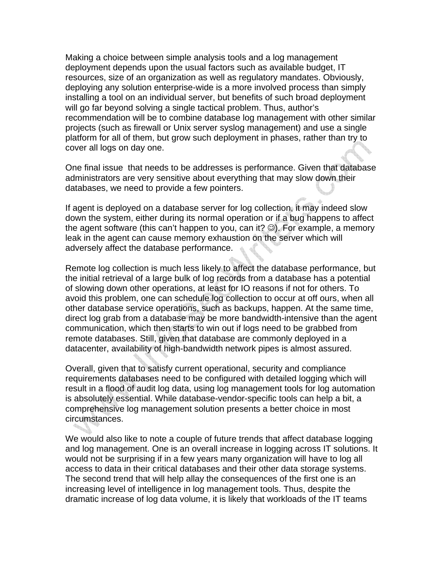Making a choice between simple analysis tools and a log management deployment depends upon the usual factors such as available budget, IT resources, size of an organization as well as regulatory mandates. Obviously, deploying any solution enterprise-wide is a more involved process than simply installing a tool on an individual server, but benefits of such broad deployment will go far beyond solving a single tactical problem. Thus, author's recommendation will be to combine database log management with other similar projects (such as firewall or Unix server syslog management) and use a single platform for all of them, but grow such deployment in phases, rather than try to cover all logs on day one.

One final issue that needs to be addresses is performance. Given that database administrators are very sensitive about everything that may slow down their databases, we need to provide a few pointers.

If agent is deployed on a database server for log collection, it may indeed slow down the system, either during its normal operation or if a bug happens to affect the agent software (this can't happen to you, can it? ☺). For example, a memory leak in the agent can cause memory exhaustion on the server which will adversely affect the database performance.

Remote log collection is much less likely to affect the database performance, but the initial retrieval of a large bulk of log records from a database has a potential of slowing down other operations, at least for IO reasons if not for others. To avoid this problem, one can schedule log collection to occur at off ours, when all other database service operations, such as backups, happen. At the same time, direct log grab from a database may be more bandwidth-intensive than the agent communication, which then starts to win out if logs need to be grabbed from remote databases. Still, given that database are commonly deployed in a datacenter, availability of high-bandwidth network pipes is almost assured.

Overall, given that to satisfy current operational, security and compliance requirements databases need to be configured with detailed logging which will result in a flood of audit log data, using log management tools for log automation is absolutely essential. While database-vendor-specific tools can help a bit, a comprehensive log management solution presents a better choice in most circumstances.

We would also like to note a couple of future trends that affect database logging and log management. One is an overall increase in logging across IT solutions. It would not be surprising if in a few years many organization will have to log all access to data in their critical databases and their other data storage systems. The second trend that will help allay the consequences of the first one is an increasing level of intelligence in log management tools. Thus, despite the dramatic increase of log data volume, it is likely that workloads of the IT teams